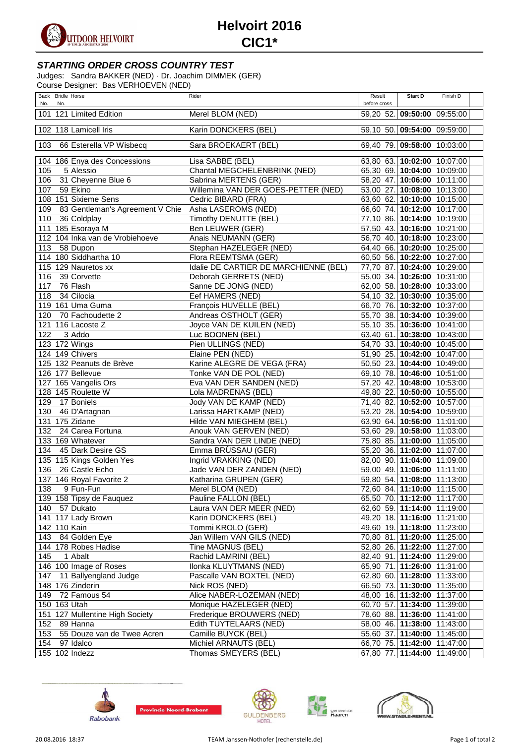

## **Helvoirt 2016 CIC1\***

## **STARTING ORDER CROSS COUNTRY TEST**

Judges: Sandra BAKKER (NED) · Dr. Joachim DIMMEK (GER) Course Designer: Bas VERHOEVEN (NED)

| $\frac{1}{2}$                          |                                       |                        |                             |
|----------------------------------------|---------------------------------------|------------------------|-----------------------------|
| Back Bridle Horse<br>No.<br>No.        | Rider                                 | Result<br>before cross | Finish D<br>Start D         |
| 101 121 Limited Edition                | Merel BLOM (NED)                      |                        | 59,20 52. 09:50:00 09:55:00 |
| 102 118 Lamicell Iris                  | Karin DONCKERS (BEL)                  |                        | 59,10 50. 09:54:00 09:59:00 |
| 103<br>66 Esterella VP Wisbecq         | Sara BROEKAERT (BEL)                  |                        | 69,40 79. 09:58:00 10:03:00 |
| 104 186 Enya des Concessions           | Lisa SABBE (BEL)                      |                        | 63,80 63. 10:02:00 10:07:00 |
| 105<br>5 Alessio                       | Chantal MEGCHELENBRINK (NED)          |                        | 65,30 69. 10:04:00 10:09:00 |
| 31 Cheyenne Blue 6<br>106              | Sabrina MERTENS (GER)                 |                        | 58,20 47. 10:06:00 10:11:00 |
| 107<br>59 Ekino                        | Willemina VAN DER GOES-PETTER (NED)   |                        | 53,00 27. 10:08:00 10:13:00 |
| 108 151 Sixieme Sens                   | Cedric BIBARD (FRA)                   |                        | 63,60 62. 10:10:00 10:15:00 |
| 109<br>83 Gentleman's Agreement V Chie | Asha LASEROMS (NED)                   |                        | 66,60 74. 10:12:00 10:17:00 |
| 110<br>36 Coldplay                     | Timothy DENUTTE (BEL)                 |                        | 77,10 86. 10:14:00 10:19:00 |
| 111 185 Esoraya M                      | Ben LEUWER (GER)                      |                        | 57,50 43. 10:16:00 10:21:00 |
| 112 104 Inka van de Vrobiehoeve        | Anais NEUMANN (GER)                   |                        | 56,70 40. 10:18:00 10:23:00 |
| 113<br>58 Dupon                        | Stephan HAZELEGER (NED)               |                        | 64,40 66. 10:20:00 10:25:00 |
| 114 180 Siddhartha 10                  | Flora REEMTSMA (GER)                  |                        | 60,50 56. 10:22:00 10:27:00 |
| 115 129 Nauretos xx                    | Idalie DE CARTIER DE MARCHIENNE (BEL) |                        | 77,70 87. 10:24:00 10:29:00 |
| 116<br>39 Corvette                     | Deborah GERRETS (NED)                 |                        | 55,00 34. 10:26:00 10:31:00 |
| 117<br>76 Flash                        | Sanne DE JONG (NED)                   |                        | 62,00 58. 10:28:00 10:33:00 |
| 34 Cilocia<br>118                      | Eef HAMERS (NED)                      |                        | 54,10 32. 10:30:00 10:35:00 |
| 119 161 Uma Guma                       | François HUVELLE (BEL)                |                        | 66,70 76. 10:32:00 10:37:00 |
| 120<br>70 Fachoudette 2                | Andreas OSTHOLT (GER)                 |                        | 55,70 38. 10:34:00 10:39:00 |
| 121 116 Lacoste Z                      | Joyce VAN DE KUILEN (NED)             |                        | 55,10 35. 10:36:00 10:41:00 |
| 122<br>3 Addo                          | Luc BOONEN (BEL)                      |                        | 63,40 61. 10:38:00 10:43:00 |
| 123 172 Wings                          | Pien ULLINGS (NED)                    |                        | 54,70 33. 10:40:00 10:45:00 |
| 124 149 Chivers                        | Elaine PEN (NED)                      |                        | 51,90 25. 10:42:00 10:47:00 |
| 125 132 Peanuts de Brève               | Karine ALEGRE DE VEGA (FRA)           |                        | 50,50 23. 10:44:00 10:49:00 |
| 126 177 Bellevue                       | Tonke VAN DE POL (NED)                |                        | 69,10 78. 10:46:00 10:51:00 |
| 127 165 Vangelis Ors                   | Eva VAN DER SANDEN (NED)              |                        | 57,20 42. 10:48:00 10:53:00 |
| 128 145 Roulette W                     | Lola MADRENAS (BEL)                   |                        | 49,80 22. 10:50:00 10:55:00 |
| 129<br>17 Boniels                      | Jody VAN DE KAMP (NED)                |                        | 71,40 82. 10:52:00 10:57:00 |
| 130<br>46 D'Artagnan                   | Larissa HARTKAMP (NED)                |                        | 53,20 28. 10:54:00 10:59:00 |
| 131 175 Zidane                         | Hilde VAN MIEGHEM (BEL)               |                        | 63,90 64. 10:56:00 11:01:00 |
| 132<br>24 Carea Fortuna                | Anouk VAN GERVEN (NED)                |                        | 53,60 29. 10:58:00 11:03:00 |
| 133 169 Whatever                       | Sandra VAN DER LINDE (NED)            |                        | 75,80 85. 11:00:00 11:05:00 |
| 134<br>45 Dark Desire GS               | Emma BRÜSSAU (GER)                    |                        | 55,20 36. 11:02:00 11:07:00 |
| 135 115 Kings Golden Yes               | Ingrid VRAKKING (NED)                 |                        | 82,00 90. 11:04:00 11:09:00 |
| 26 Castle Echo<br>136                  | Jade VAN DER ZANDEN (NED)             |                        | 59,00 49. 11:06:00 11:11:00 |
| 137 146 Royal Favorite 2               | Katharina GRUPEN (GER)                |                        | 59,80 54. 11:08:00 11:13:00 |
| 9 Fun-Fun<br>138                       | Merel BLOM (NED)                      |                        | 72,60 84. 11:10:00 11:15:00 |
| 139 158 Tipsy de Fauquez               | Pauline FALLON (BEL)                  |                        | 65,50 70. 11:12:00 11:17:00 |
| 140<br>57 Dukato                       | Laura VAN DER MEER (NED)              |                        | 62,60 59. 11:14:00 11:19:00 |
| 141 117 Lady Brown                     | Karin DONCKERS (BEL)                  |                        | 49,20 18. 11:16:00 11:21:00 |
| 142 110 Kain                           | Tommi KROLO (GER)                     |                        | 49,60 19. 11:18:00 11:23:00 |
| 143<br>84 Golden Eye                   | Jan Willem VAN GILS (NED)             |                        | 70,80 81. 11:20:00 11:25:00 |
| 144 178 Robes Hadise                   | Tine MAGNUS (BEL)                     |                        | 52,80 26. 11:22:00 11:27:00 |
| 145<br>1 Abalt                         | Rachid LAMRINI (BEL)                  |                        | 82,40 91. 11:24:00 11:29:00 |
| 146 100 Image of Roses                 | Ilonka KLUYTMANS (NED)                |                        | 65,90 71. 11:26:00 11:31:00 |
| 11 Ballyengland Judge<br>147           | Pascalle VAN BOXTEL (NED)             |                        | 62,80 60. 11:28:00 11:33:00 |
| 148 176 Zinderin                       | Nick ROS (NED)                        |                        | 66,50 73. 11:30:00 11:35:00 |
| 149<br>72 Famous 54                    | Alice NABER-LOZEMAN (NED)             |                        | 48,00 16. 11:32:00 11:37:00 |
| 150 163 Utah                           | Monique HAZELEGER (NED)               |                        | 60,70 57. 11:34:00 11:39:00 |
| 151 127 Mullentine High Society        | Frederique BROUWERS (NED)             |                        | 78,60 88. 11:36:00 11:41:00 |
| 89 Hanna<br>152                        | Edith TUYTELAARS (NED)                |                        | 58,00 46. 11:38:00 11:43:00 |
| 153 55 Douze van de Twee Acren         | Camille BUYCK (BEL)                   |                        | 55,60 37. 11:40:00 11:45:00 |
| 154<br>97 Idalco                       | Michiel ARNAUTS (BEL)                 |                        | 66,70 75. 11:42:00 11:47:00 |
| 155 102 Indezz                         | Thomas SMEYERS (BEL)                  |                        | 67,80 77. 11:44:00 11:49:00 |